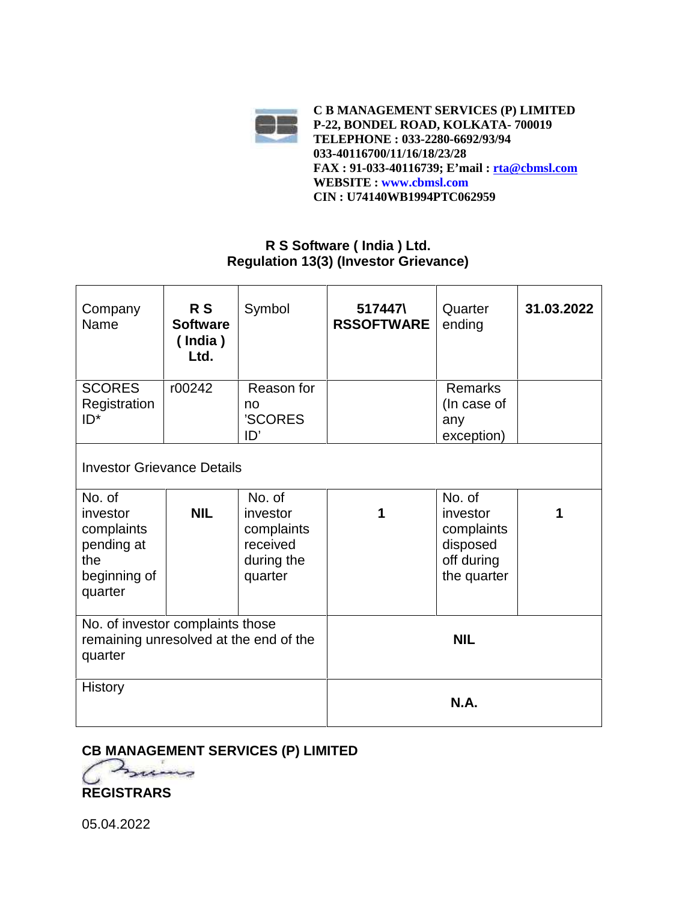

#### **R S Software ( India ) Ltd. Regulation 13(3) (Investor Grievance)**

| Company<br>Name                                                                       | R S<br><b>Software</b><br>$($ India)<br>Ltd. | Symbol                                                                | 517447\<br><b>RSSOFTWARE</b> | Quarter<br>ending                                                         | 31.03.2022 |  |
|---------------------------------------------------------------------------------------|----------------------------------------------|-----------------------------------------------------------------------|------------------------------|---------------------------------------------------------------------------|------------|--|
| <b>SCORES</b><br>Registration<br>$ID^*$                                               | r00242                                       | Reason for<br>no<br>'SCORES<br>ID'                                    |                              | <b>Remarks</b><br>(In case of<br>any<br>exception)                        |            |  |
| <b>Investor Grievance Details</b>                                                     |                                              |                                                                       |                              |                                                                           |            |  |
| No. of<br>investor<br>complaints<br>pending at<br>the<br>beginning of<br>quarter      | <b>NIL</b>                                   | No. of<br>investor<br>complaints<br>received<br>during the<br>quarter | 1                            | No. of<br>investor<br>complaints<br>disposed<br>off during<br>the quarter |            |  |
| No. of investor complaints those<br>remaining unresolved at the end of the<br>quarter |                                              |                                                                       |                              | <b>NIL</b>                                                                |            |  |
| <b>History</b>                                                                        |                                              |                                                                       |                              | <b>N.A.</b>                                                               |            |  |

### **CB MANAGEMENT SERVICES (P) LIMITED**



05.04.2022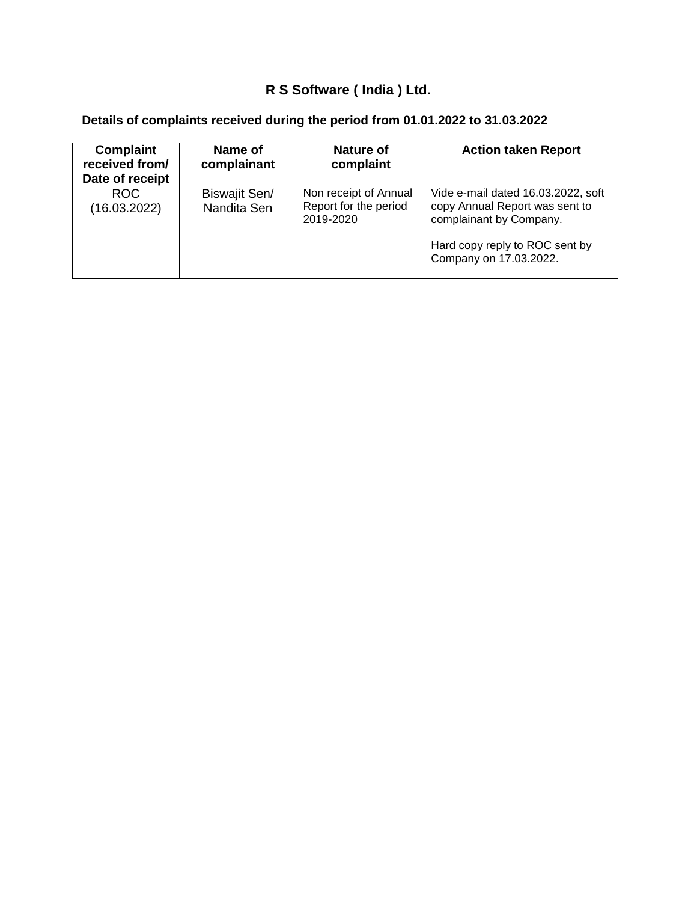# **R S Software ( India ) Ltd.**

| <b>Complaint</b><br>received from/<br>Date of receipt | Name of<br>complainant       | Nature of<br>complaint                                      | <b>Action taken Report</b>                                                                                                                                  |
|-------------------------------------------------------|------------------------------|-------------------------------------------------------------|-------------------------------------------------------------------------------------------------------------------------------------------------------------|
| ROC.<br>(16.03.2022)                                  | Biswajit Sen/<br>Nandita Sen | Non receipt of Annual<br>Report for the period<br>2019-2020 | Vide e-mail dated 16.03.2022, soft<br>copy Annual Report was sent to<br>complainant by Company.<br>Hard copy reply to ROC sent by<br>Company on 17.03.2022. |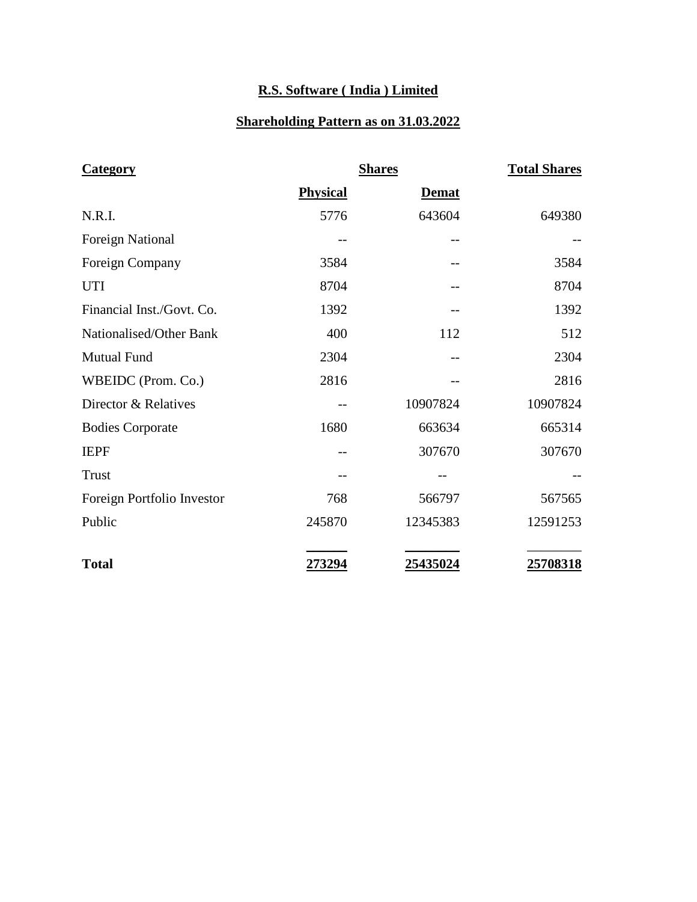## **R.S. Software ( India ) Limited**

#### **Shareholding Pattern as on 31.03.2022**

| <b>Category</b>            |                 | <b>Shares</b> | <b>Total Shares</b> |
|----------------------------|-----------------|---------------|---------------------|
|                            | <b>Physical</b> | <b>Demat</b>  |                     |
| N.R.I.                     | 5776            | 643604        | 649380              |
| <b>Foreign National</b>    |                 |               |                     |
| Foreign Company            | 3584            |               | 3584                |
| <b>UTI</b>                 | 8704            |               | 8704                |
| Financial Inst./Govt. Co.  | 1392            |               | 1392                |
| Nationalised/Other Bank    | 400             | 112           | 512                 |
| Mutual Fund                | 2304            |               | 2304                |
| WBEIDC (Prom. Co.)         | 2816            |               | 2816                |
| Director & Relatives       | --              | 10907824      | 10907824            |
| <b>Bodies Corporate</b>    | 1680            | 663634        | 665314              |
| <b>IEPF</b>                |                 | 307670        | 307670              |
| <b>Trust</b>               |                 |               |                     |
| Foreign Portfolio Investor | 768             | 566797        | 567565              |
| Public                     | 245870          | 12345383      | 12591253            |
| <b>Total</b>               | 273294          | 25435024      | 25708318            |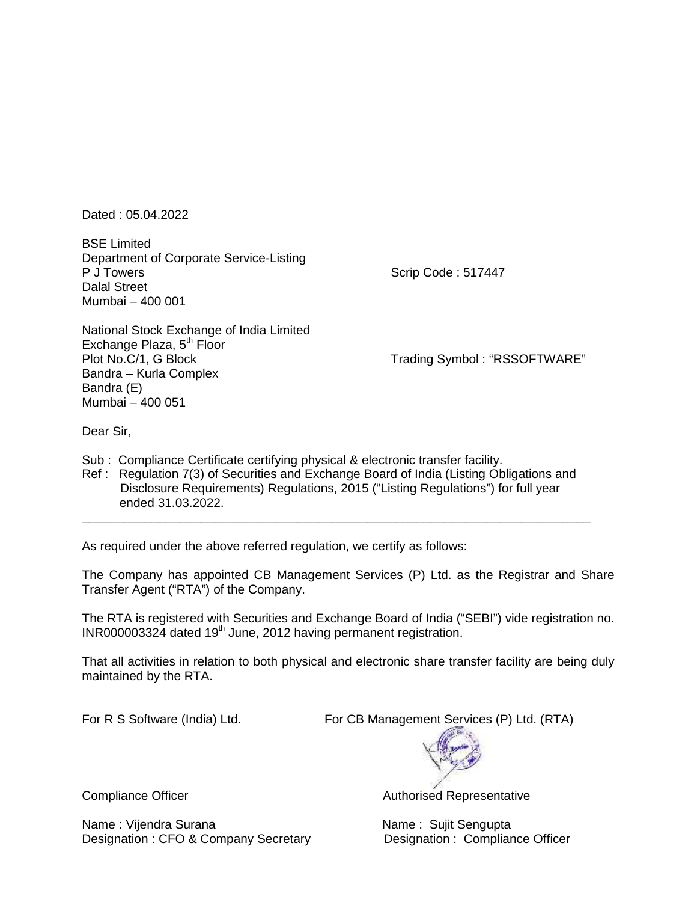Dated : 05.04.2022

BSE Limited Department of Corporate Service-Listing Dalal Street Mumbai – 400 001

Scrip Code : 517447

National Stock Exchange of India Limited Exchange Plaza, 5<sup>th</sup> Floor<br>Plot No.C/1, G Block Bandra – Kurla Complex Bandra (E) Mumbai – 400 051

Trading Symbol : "RSSOFTWARE"

Dear Sir,

Sub : Compliance Certificate certifying physical & electronic transfer facility.

Ref : Regulation 7(3) of Securities and Exchange Board of India (Listing Obligations and Disclosure Requirements) Regulations, 2015 ("Listing Regulations") for full year ended 31.03.2022.

As required under the above referred regulation, we certify as follows:

The Company has appointed CB Management Services (P) Ltd. as the Registrar and Share Transfer Agent ("RTA") of the Company.

**\_\_\_\_\_\_\_\_\_\_\_\_\_\_\_\_\_\_\_\_\_\_\_\_\_\_\_\_\_\_\_\_\_\_\_\_\_\_\_\_\_\_\_\_\_\_\_\_\_\_\_\_\_\_\_\_\_\_\_\_\_\_\_\_\_\_\_\_\_\_\_\_\_**

The RTA is registered with Securities and Exchange Board of India ("SEBI") vide registration no. INR000003324 dated 19<sup>th</sup> June, 2012 having permanent registration.

That all activities in relation to both physical and electronic share transfer facility are being duly maintained by the RTA.

For R S Software (India) Ltd. For CB Management Services (P) Ltd. (RTA)



Name : Vijendra Surana Name : Sujit Sengupta Designation : CFO & Company Secretary **Designation : Compliance Officer** 

Compliance Officer **Authorised Representative** Authorised Representative